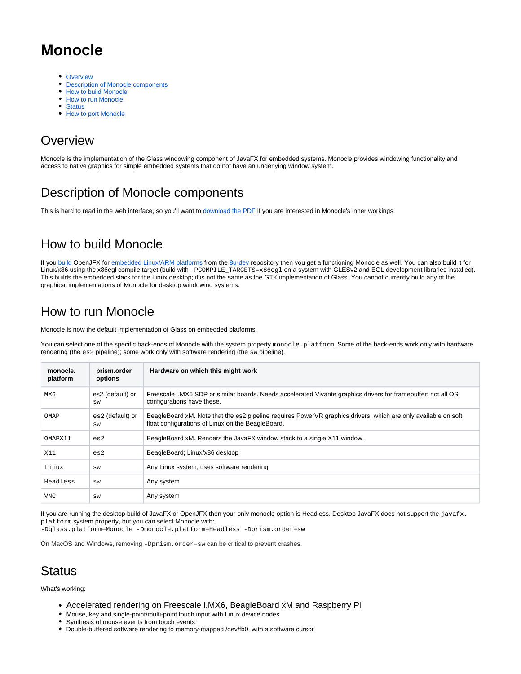# **Monocle**

- [Overview](#page-0-0)
- $\bullet$ [Description of Monocle components](#page-0-1)
- [How to build Monocle](#page-0-2)
- [How to run Monocle](#page-0-3)
- [Status](#page-0-4)
- [How to port Monocle](#page-1-0)

## <span id="page-0-0"></span>**Overview**

Monocle is the implementation of the Glass windowing component of JavaFX for embedded systems. Monocle provides windowing functionality and access to native graphics for simple embedded systems that do not have an underlying window system.

## <span id="page-0-1"></span>Description of Monocle components

This is hard to read in the web interface, so you'll want to [download the PDF](https://wiki.openjdk.org/download/attachments/17957197/Monocle.pdf?version=5&modificationDate=1399467934000&api=v2) if you are interested in Monocle's inner workings.

#### <span id="page-0-2"></span>How to build Monocle

If you [build](https://wiki.openjdk.org/display/OpenJFX/Building+OpenJFX) OpenJFX for [embedded Linux/ARM platforms](https://wiki.openjdk.org/display/OpenJFX/Cross+Building+for+ARM+Hard+Float) from the [8u-dev](https://wiki.openjdk.org/display/OpenJFX/Repositories+and+Releases) repository then you get a functioning Monocle as well. You can also build it for Linux/x86 using the x86egl compile target (build with -PCOMPILE\_TARGETS=x86egl on a system with GLESv2 and EGL development libraries installed). This builds the embedded stack for the Linux desktop; it is not the same as the GTK implementation of Glass. You cannot currently build any of the graphical implementations of Monocle for desktop windowing systems.

## <span id="page-0-3"></span>How to run Monocle

Monocle is now the default implementation of Glass on embedded platforms.

You can select one of the specific back-ends of Monocle with the system property monocle.platform. Some of the back-ends work only with hardware rendering (the es2 pipeline); some work only with software rendering (the sw pipeline).

| monocle.<br>platform | prism.order<br>options | Hardware on which this might work                                                                                                                                   |
|----------------------|------------------------|---------------------------------------------------------------------------------------------------------------------------------------------------------------------|
| MX6                  | es2 (default) or<br>SW | Freescale i.MX6 SDP or similar boards. Needs accelerated Vivante graphics drivers for framebuffer; not all OS<br>configurations have these.                         |
| OMAP                 | es2 (default) or<br>SW | BeagleBoard xM. Note that the es2 pipeline requires PowerVR graphics drivers, which are only available on soft<br>float configurations of Linux on the BeagleBoard. |
| OMAPX11              | es2                    | BeagleBoard xM. Renders the JavaFX window stack to a single X11 window.                                                                                             |
| X11                  | es2                    | BeagleBoard; Linux/x86 desktop                                                                                                                                      |
| Linux                | SW                     | Any Linux system; uses software rendering                                                                                                                           |
| Headless             | SW                     | Any system                                                                                                                                                          |
| <b>VNC</b>           | SW                     | Any system                                                                                                                                                          |

If you are running the desktop build of JavaFX or OpenJFX then your only monocle option is Headless. Desktop JavaFX does not support the javafx. platform system property, but you can select Monocle with:

-Dglass.platform=Monocle -Dmonocle.platform=Headless -Dprism.order=sw

On MacOS and Windows, removing -Dprism.order=sw can be critical to prevent crashes.

## <span id="page-0-4"></span>**Status**

What's working:

- Accelerated rendering on Freescale i.MX6, BeagleBoard xM and Raspberry Pi
- Mouse, key and single-point/multi-point touch input with Linux device nodes
- Synthesis of mouse events from touch events
- Double-buffered software rendering to memory-mapped /dev/fb0, with a software cursor